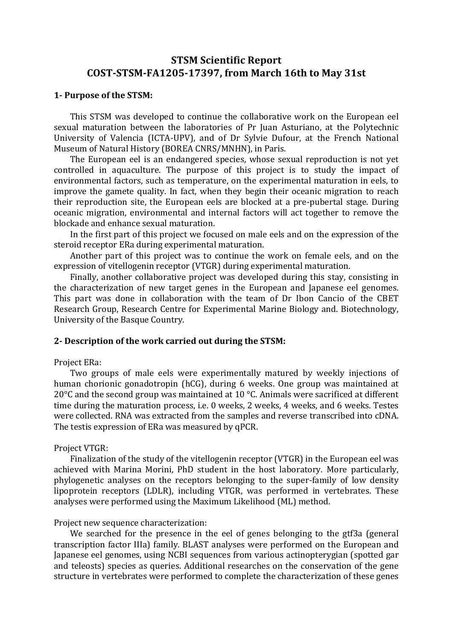# **STSM Scientific Report COST-STSM-FA1205-17397, from March 16th to May 31st**

### **1-** Purpose of the STSM:

This STSM was developed to continue the collaborative work on the European eel sexual maturation between the laboratories of Pr Juan Asturiano, at the Polytechnic University of Valencia (ICTA-UPV), and of Dr Sylvie Dufour, at the French National Museum of Natural History (BOREA CNRS/MNHN), in Paris.

The European eel is an endangered species, whose sexual reproduction is not yet controlled in aquaculture. The purpose of this project is to study the impact of environmental factors, such as temperature, on the experimental maturation in eels, to improve the gamete quality. In fact, when they begin their oceanic migration to reach their reproduction site, the European eels are blocked at a pre-pubertal stage. During oceanic migration, environmental and internal factors will act together to remove the blockade and enhance sexual maturation.

In the first part of this project we focused on male eels and on the expression of the steroid receptor ERa during experimental maturation.

Another part of this project was to continue the work on female eels, and on the expression of vitellogenin receptor (VTGR) during experimental maturation.

Finally, another collaborative project was developed during this stay, consisting in the characterization of new target genes in the European and Japanese eel genomes. This part was done in collaboration with the team of Dr Ibon Cancio of the CBET Research Group, Research Centre for Experimental Marine Biology and. Biotechnology, University of the Basque Country.

### **2**- **Description** of the work carried out during the STSM:

### Project ERa:

Two groups of male eels were experimentally matured by weekly injections of human chorionic gonadotropin (hCG), during 6 weeks. One group was maintained at 20 $\degree$ C and the second group was maintained at 10  $\degree$ C. Animals were sacrificed at different time during the maturation process, i.e. 0 weeks, 2 weeks, 4 weeks, and 6 weeks. Testes were collected. RNA was extracted from the samples and reverse transcribed into cDNA. The testis expression of ERa was measured by qPCR.

### Project VTGR:

Finalization of the study of the vitellogenin receptor (VTGR) in the European eel was achieved with Marina Morini, PhD student in the host laboratory. More particularly, phylogenetic analyses on the receptors belonging to the super-family of low density lipoprotein receptors (LDLR), including VTGR, was performed in vertebrates. These analyses were performed using the Maximum Likelihood (ML) method.

#### Project new sequence characterization:

We searched for the presence in the eel of genes belonging to the gtf3a (general transcription factor IIIa) family. BLAST analyses were performed on the European and Japanese eel genomes, using NCBI sequences from various actinopterygian (spotted gar and teleosts) species as queries. Additional researches on the conservation of the gene structure in vertebrates were performed to complete the characterization of these genes